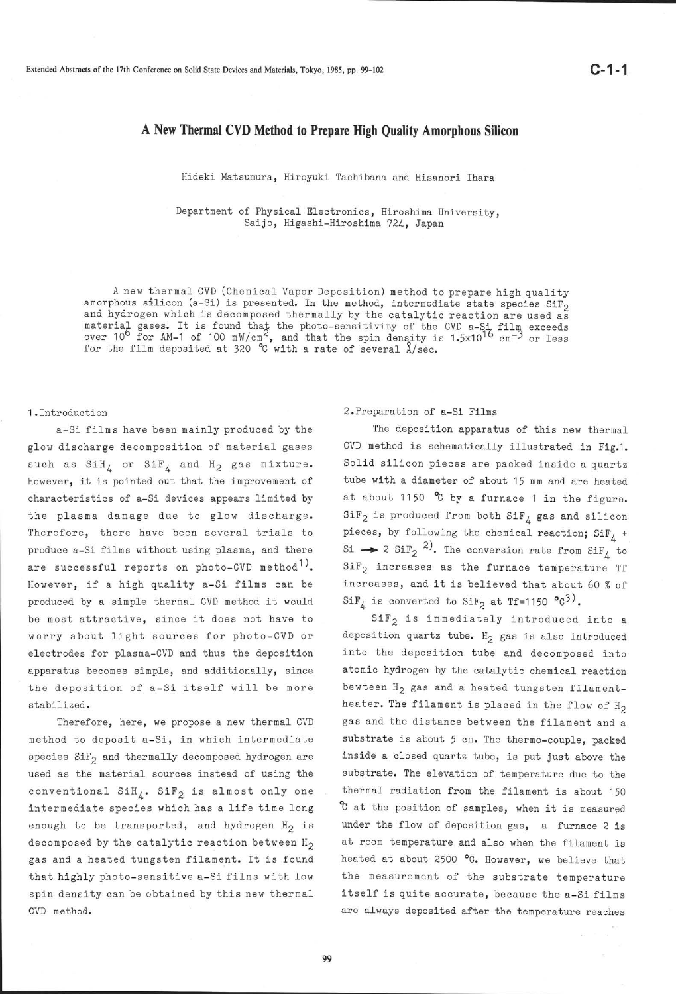# A New Thermal CVD Method to Prepare High Quality Amorphous Silicon

Hideki Matsumura, Hiroyuki Tachibana and Hisanori Ihara

Department of Physical Electronics, Hiroshima University, Saijo, Higashi-Hiroshima 724, Japan

A new thermaL CVD (Chemical Vapor Deposition) method. to prepare high quality amorphous silicon (a-Si) is presented. In the method, intermediate state species SiF<sub>2</sub> and hydrogen which is decomposed thermally by the catalytic reaction are used as<br>material gases. It is found that the photo-sensitivity of the CVD a-S<sub>,</sub>i film exceeds over 10<sup>6</sup> for AM-1 of 100 mW/cm<sup>2</sup>, and that the spin density is 1.5x10<sup>16</sup> cm<sup>-3</sup> or less for the film deposited at 320 °C with a rate of several  $\lambda$ /sec.

#### l.Introduction

a-Si films have been mainly produced by the glow discharge decomposition of naterial gases such as  $\text{SiH}_{4}$  or  $\text{SiF}_{4}$  and  $\text{H}_{2}$  gas mixture. However, it is pointed out that the improvenent of characteristics of a-Si devices appears limited by the plasna damage due to glow discharge. Therefore, there have been several trials to produee a-Si films without using plasma, and there are successful reports on photo-CVD method<sup>1)</sup>. However, if a high quality a-Si fiLms can be produced by a slmple thernal CVD nethod it would be most attractive, since it does not have to worry about light sources for photo-CVD or electrodes for plasna-CVD and thus the deposition apparatus becomes simple, and additionally, since the deposition of a-Si itself will be more stabilized.

Therefore, here, we propose a new thermal CVD method to deposit a-Si, in which intermediate species  $\text{SiF}_2$  and thermally decomposed hydrogen are used as the material sources instead of using the conventional  $SH_A$ . SiF<sub>2</sub> is almost only one intermediate species which has a life time long enough to be transported, and hydrogen  $H_2$  is decomposed by the catalytic reaction between  $H_2$ gas and a heated tungsten filament. It is found that highly photo-sensitive a-Si films with low spin density ean be obtained by this new thermal CVD method.

2. Preparation of a-Si Films

The deposition apparatus of this new thermal CVD method is schematically illustrated in Fig.1. Solid silicon pieces are packed inside a quartz tube with a diameter of about 15 nn and are heated at about 1150  $\degree$ C by a furnace 1 in the figure.  $\mathtt{SiF}_2$  is produced from both  $\mathtt{SiF}_4$  gas and silicon pieces, by following the chemical reaction;  $SiF_{L}$  + Si  $\rightarrow$  2 SiF<sub>2</sub><sup>2</sup>). The conversion rate from SiF<sub>4</sub> to  $SiF<sub>2</sub>$  increases as the furnace temperature Tf increases, and it is believed that about 60 % of  $\text{SiF}_{4}$  is converted to  $\text{SiF}_{2}$  at Tf=1150 °C<sup>3</sup>).

SiF<sub>2</sub> is immediately introduced into a deposition quartz tube.  $H_2$  gas is also introduced into the deposition tube and deeomposed into atomic hydrogen by the catalytic chemical reaction bewteen H<sub>2</sub> gas and a heated tungsten filamentheater. The filament is placed in the flow of  $H_2$ gas and the distance between the filament and <sup>a</sup> substrate is about 5 cm. The thermo-couple, packed inside a closed quartz tube, is put just above the substrate. The elevation of temperature due to the thermal radiation from the filament is about 150  $c$  at the position of samples, when it is measured under the flow of deposition gas, a furnace 2 is at roon temperature and also when the filament is heated at about 2500 °C. However, we believe that the neasurenent of the substrate temperature itself is quite accurate, because the a-Si films are always deposited after the temperature reaches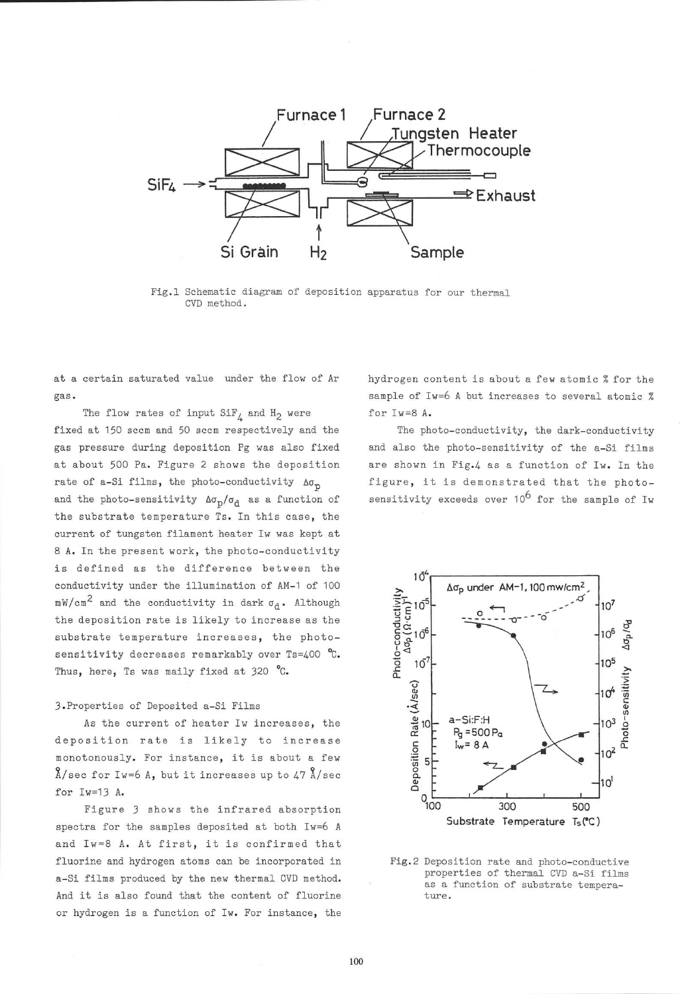

Fig.1 Schematic diagram of deposition apparatus for our thermal CVD method.

at a certain saturated value under the flow of Ar gas.

The flow rates of input  $\text{SiF}_L$  and  $\text{H}_2$  were

fixed at 150 sccm and 50 sccm respectively and the gas pressure during deposition Pg was also fixed at about 500 Pa. Figure 2 shows the deposition rate of a-Si films, the photo-conductivity  $\Delta\sigma_p$ and the photo-sensitivity  $\Delta\sigma_{\rm p}/\sigma_{\rm d}$  as a function of the substrate temperature Ts. Tn this ease, the current of tungsten filament heater Iw was kept at 8 A. In the present work, the photo-conductivity is defined as the difference between the conductivity under the illumination of AM-1 of 100  $mW/cm<sup>2</sup>$  and the conductivity in dark  $\sigma_d$ . Although the deposition rate is likely to increase as the substrate temperature increases, the photosensitivity decreases remarkably over  $Ts=400$  °C. Thus, here, Ts was maily fixed at 320  $^{\circ}$ C.

### 3. Properties of Deposited a-Si Films

As the current of heater Iw increases, the deposition rate is 1ike1y to increase monotonously. For instance, it is about a few  $\lambda$ /sec for Iw=6 A, but it increases up to 47  $\lambda$ /sec for Iw=13 A.

Figure 3 shows the infrared absorption spectra for the samples deposited at both Iw=6 <sup>A</sup> and Iw=8 A. At first, it 1s confirmed that fluorine and hydrogen atoms can be incorporated in a-Si films produced by the new thermal CVD method. And it is also found that the content of fluorine or hydrogen is a function of Iw. For instance, the hydrogen content is about a few atomic % for the sample of Iw=6 A but increases to several atomic % for Iw=8 A.

The photo-conductivity, the dark-conductivity and also the photo-sensitivity of the a-Si films are shown in Fig.4 as a function of Iw. In the figure, it is demonstrated that the photosensitivity exceeds over  $10^6$  for the sample of Iw



Fig.2 Deposition rate and photo-conductive properties of thermal CVD a-Si films as a function of substrate temperature.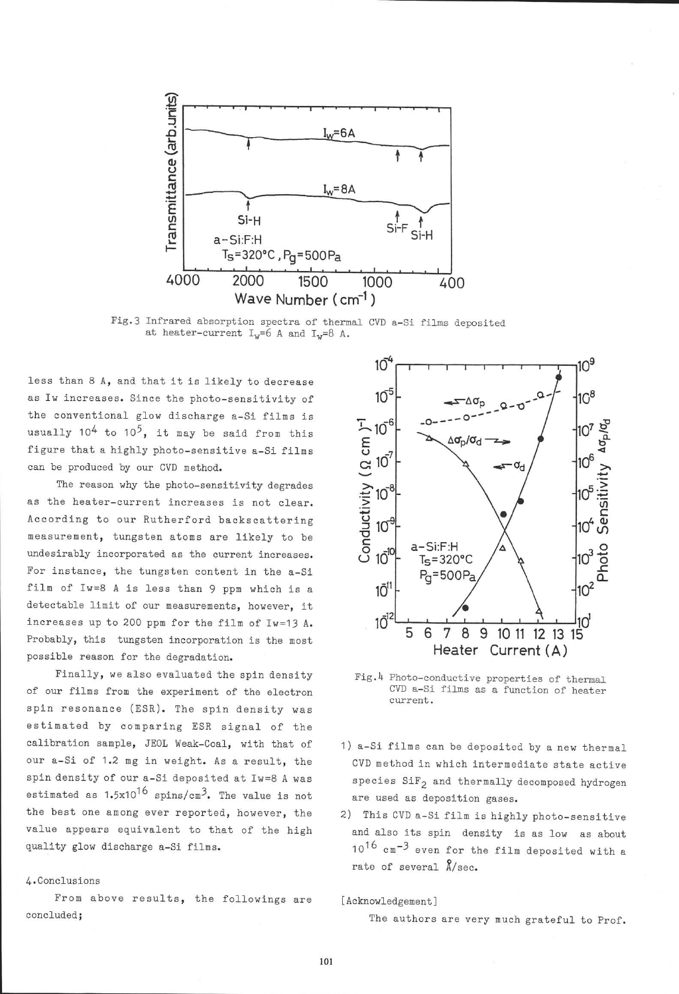

Fig.3 Infrared absorption spectra of thermal CVD a-Si films deposited at heater-current  $I_w=6$  A and  $I_w=8$  A.

less than 8 A, and that it is likeIy to decrease as Iw increases. Since the photo-sensitivity of the conventional glow discharge a-Si fiLns is usually  $10^4$  to  $10^5$ , it may be said from this figure that a highly photo-sensitive a-Si films ean be produced by our CVD method.

The reason why the photo-sensitivity degrades as the heater-current increases is not clear. According to our Rutherford backscattering measurenent, tungsten atoms are 1ike1y to be undesirably incorporated as the current inereases. For instance, the tungsten content in the a-Si filn of Iw=8 A is less than 9 ppm which is <sup>a</sup> detectable limit of our neasurements, however, it increases up to 200 ppm for the film of Iw=13 A. Probably, this tungsten incorporation is the most possible reason for the degradation.

Finally, we also evaluated the spin density of our films from the experiment of the electron spln resonance (ESR). The spin density was estimated by comparing ESR signal of the calibration sample, JE0L Weak-Coal, with that of our a-Si of 1.2 mg in weight. As a result, the spin density of our a-Si deposited at Iw=8 A was estimated as  $1.5x10^{16}$  spins/cm<sup>3</sup>. The value is not the best one among ever reported, however, the value appears equivalent to that of the high quality glow discharge a-Si filns.

## 4. Conclusions

Fron above results, the followings are concluded;



Fig.4 Photo-conductive properties of thermal CVD a-Si films as a function of heater current.

- 1) a-Si films can be deposited by a new thermal CVD nethod in which internediate state active species  $\text{SiF}_2$  and thermally decomposed hydrogen are used as deposition gases.
- 2) This CVD a-Si film is highly photo-sensitive and also its spin density 1s as low as about  $10^{16}$  cm $^{-3}$  even for the film deposited with a rate of several  $\hat{\Lambda}/\text{sec}$ .

#### [Acknowledgement]

The authors are very much grateful to Prof.